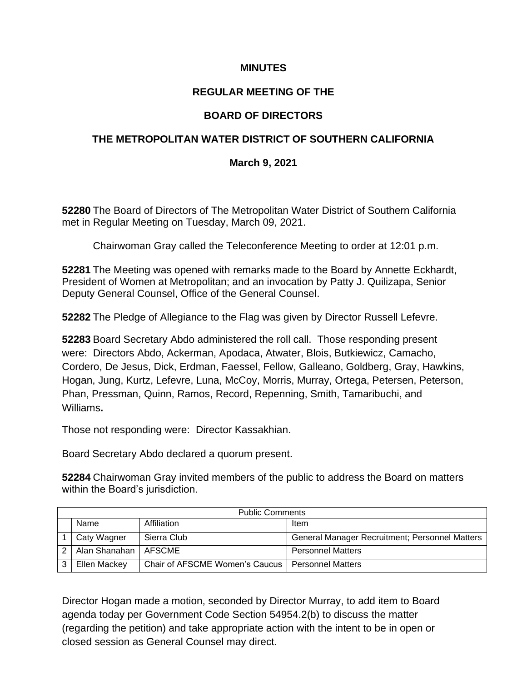### **MINUTES**

# **REGULAR MEETING OF THE**

# **BOARD OF DIRECTORS**

## **THE METROPOLITAN WATER DISTRICT OF SOUTHERN CALIFORNIA**

### **March 9, 2021**

**52280** The Board of Directors of The Metropolitan Water District of Southern California met in Regular Meeting on Tuesday, March 09, 2021.

Chairwoman Gray called the Teleconference Meeting to order at 12:01 p.m.

**52281** The Meeting was opened with remarks made to the Board by Annette Eckhardt, President of Women at Metropolitan; and an invocation by Patty J. Quilizapa, Senior Deputy General Counsel, Office of the General Counsel.

**52282** The Pledge of Allegiance to the Flag was given by Director Russell Lefevre.

**52283** Board Secretary Abdo administered the roll call. Those responding present were: Directors Abdo, Ackerman, Apodaca, Atwater, Blois, Butkiewicz, Camacho, Cordero, De Jesus, Dick, Erdman, Faessel, Fellow, Galleano, Goldberg, Gray, Hawkins, Hogan, Jung, Kurtz, Lefevre, Luna, McCoy, Morris, Murray, Ortega, Petersen, Peterson, Phan, Pressman, Quinn, Ramos, Record, Repenning, Smith, Tamaribuchi, and Williams**.**

Those not responding were: Director Kassakhian.

Board Secretary Abdo declared a quorum present.

**52284** Chairwoman Gray invited members of the public to address the Board on matters within the Board's jurisdiction.

|   | <b>Public Comments</b> |                                |                                                       |  |  |  |  |  |  |  |
|---|------------------------|--------------------------------|-------------------------------------------------------|--|--|--|--|--|--|--|
|   | Name                   | Affiliation                    | Item                                                  |  |  |  |  |  |  |  |
|   | Caty Wagner            | Sierra Club                    | <b>General Manager Recruitment; Personnel Matters</b> |  |  |  |  |  |  |  |
|   | Alan Shanahan          | AFSCME                         | <b>Personnel Matters</b>                              |  |  |  |  |  |  |  |
| 3 | Ellen Mackey           | Chair of AFSCME Women's Caucus | <b>Personnel Matters</b>                              |  |  |  |  |  |  |  |

Director Hogan made a motion, seconded by Director Murray, to add item to Board agenda today per Government Code Section 54954.2(b) to discuss the matter (regarding the petition) and take appropriate action with the intent to be in open or closed session as General Counsel may direct.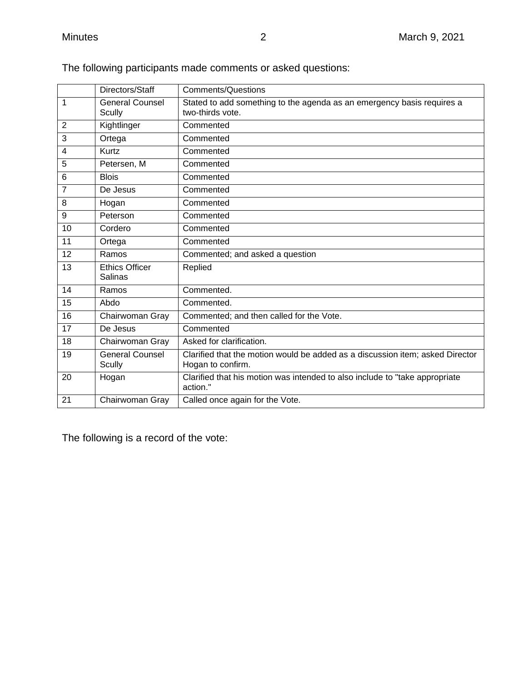|                 | Directors/Staff        | <b>Comments/Questions</b>                                                     |
|-----------------|------------------------|-------------------------------------------------------------------------------|
| 1               | <b>General Counsel</b> | Stated to add something to the agenda as an emergency basis requires a        |
|                 | <b>Scully</b>          | two-thirds vote.                                                              |
| $\overline{2}$  | Kightlinger            | Commented                                                                     |
| 3               | Ortega                 | Commented                                                                     |
| 4               | Kurtz                  | Commented                                                                     |
| 5               | Petersen, M            | Commented                                                                     |
| $6\phantom{1}6$ | <b>Blois</b>           | Commented                                                                     |
| $\overline{7}$  | De Jesus               | Commented                                                                     |
| 8               | Hogan                  | Commented                                                                     |
| 9               | Peterson               | Commented                                                                     |
| 10              | Cordero                | Commented                                                                     |
| 11              | Ortega                 | Commented                                                                     |
| 12              | Ramos                  | Commented; and asked a question                                               |
| 13              | <b>Ethics Officer</b>  | Replied                                                                       |
|                 | Salinas                |                                                                               |
| 14              | Ramos                  | Commented.                                                                    |
| 15              | Abdo                   | Commented.                                                                    |
| 16              | Chairwoman Gray        | Commented; and then called for the Vote.                                      |
| 17              | De Jesus               | Commented                                                                     |
| 18              | Chairwoman Gray        | Asked for clarification.                                                      |
| 19              | <b>General Counsel</b> | Clarified that the motion would be added as a discussion item; asked Director |
|                 | <b>Scully</b>          | Hogan to confirm.                                                             |
| 20              | Hogan                  | Clarified that his motion was intended to also include to "take appropriate   |
|                 |                        | action."                                                                      |
| 21              | Chairwoman Gray        | Called once again for the Vote.                                               |

The following participants made comments or asked questions:

The following is a record of the vote: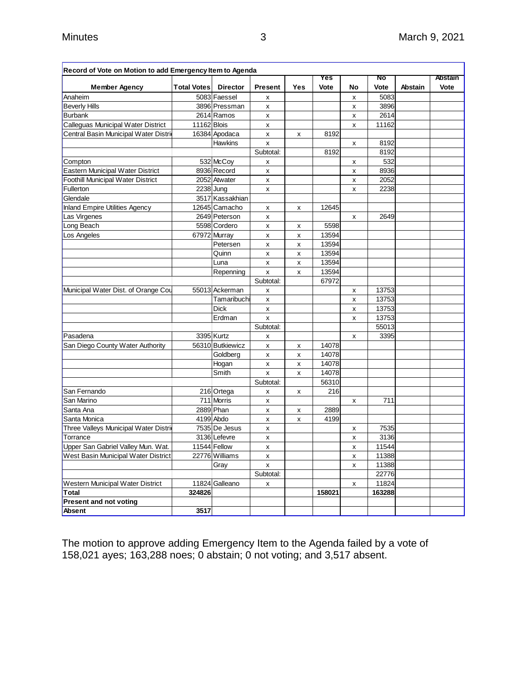| Record of Vote on Motion to add Emergency Item to Agenda |                    |                  |                |     |        |    |        |                |                |
|----------------------------------------------------------|--------------------|------------------|----------------|-----|--------|----|--------|----------------|----------------|
|                                                          |                    |                  |                |     | Yes    |    | No     |                | <b>Abstain</b> |
| <b>Member Agency</b>                                     | <b>Total Votes</b> | <b>Director</b>  | <b>Present</b> | Yes | Vote   | No | Vote   | <b>Abstain</b> | Vote           |
| Anaheim                                                  |                    | 5083 Faessel     | х              |     |        | х  | 5083   |                |                |
| <b>Beverly Hills</b>                                     |                    | 3896 Pressman    | x              |     |        | X  | 3896   |                |                |
| <b>Burbank</b>                                           |                    | 2614 Ramos       | x              |     |        | x  | 2614   |                |                |
| Calleguas Municipal Water District                       | 11162 Blois        |                  | x              |     |        | X  | 11162  |                |                |
| Central Basin Municipal Water Distri                     |                    | 16384 Apodaca    | x              | x   | 8192   |    |        |                |                |
|                                                          |                    | Hawkins          | x              |     |        | x  | 8192   |                |                |
|                                                          |                    |                  | Subtotal:      |     | 8192   |    | 8192   |                |                |
| Compton                                                  |                    | 532 McCoy        | x              |     |        | х  | 532    |                |                |
| Eastern Municipal Water District                         |                    | 8936 Record      | x              |     |        | X  | 8936   |                |                |
| Foothill Municipal Water District                        |                    | 2052 Atwater     | x              |     |        | x  | 2052   |                |                |
| Fullerton                                                |                    | 2238 Jung        | X              |     |        | x  | 2238   |                |                |
| Glendale                                                 |                    | 3517 Kassakhian  |                |     |        |    |        |                |                |
| Inland Empire Utilities Agency                           |                    | 12645 Camacho    | x              | x   | 12645  |    |        |                |                |
| Las Virgenes                                             |                    | 2649 Peterson    | x              |     |        | x  | 2649   |                |                |
| Long Beach                                               |                    | 5598 Cordero     | x              | х   | 5598   |    |        |                |                |
| Los Angeles                                              |                    | 67972 Murray     | x              | x   | 13594  |    |        |                |                |
|                                                          |                    | Petersen         | x              | X   | 13594  |    |        |                |                |
|                                                          |                    | Quinn            | х              | х   | 13594  |    |        |                |                |
|                                                          |                    | Luna             | x              | X   | 13594  |    |        |                |                |
|                                                          |                    | Repenning        | x              | X   | 13594  |    |        |                |                |
|                                                          |                    |                  | Subtotal:      |     | 67972  |    |        |                |                |
| Municipal Water Dist. of Orange Cou                      |                    | 55013 Ackerman   | х              |     |        | х  | 13753  |                |                |
|                                                          |                    | Tamaribuchi      | x              |     |        | x  | 13753  |                |                |
|                                                          |                    | <b>Dick</b>      | x              |     |        | x  | 13753  |                |                |
|                                                          |                    | Erdman           | x              |     |        | x  | 13753  |                |                |
|                                                          |                    |                  | Subtotal:      |     |        |    | 55013  |                |                |
| Pasadena                                                 |                    | 3395 Kurtz       | х              |     |        | х  | 3395   |                |                |
| San Diego County Water Authority                         |                    | 56310 Butkiewicz | x              | X   | 14078  |    |        |                |                |
|                                                          |                    | Goldberg         | x              | X   | 14078  |    |        |                |                |
|                                                          |                    | Hogan            | x              | x   | 14078  |    |        |                |                |
|                                                          |                    | Smith            | X              | x   | 14078  |    |        |                |                |
|                                                          |                    |                  | Subtotal:      |     | 56310  |    |        |                |                |
| San Fernando                                             |                    | 216 Ortega       | х              | X   | 216    |    |        |                |                |
| San Marino                                               |                    | 711 Morris       | x              |     |        | X  | 711    |                |                |
| Santa Ana                                                |                    | 2889 Phan        | x              | x   | 2889   |    |        |                |                |
| Santa Monica                                             |                    | 4199 Abdo        | x              | x   | 4199   |    |        |                |                |
| Three Valleys Municipal Water Distrio                    |                    | 7535 De Jesus    | x              |     |        | x  | 7535   |                |                |
| Torrance                                                 |                    | 3136 Lefevre     | x              |     |        | x  | 3136   |                |                |
| Upper San Gabriel Valley Mun. Wat.                       |                    | 11544 Fellow     | х              |     |        | x  | 11544  |                |                |
| West Basin Municipal Water District                      |                    | 22776 Williams   | x              |     |        | x  | 11388  |                |                |
|                                                          |                    | Gray             | x              |     |        | x  | 11388  |                |                |
|                                                          |                    |                  | Subtotal:      |     |        |    | 22776  |                |                |
| Western Municipal Water District                         |                    | 11824 Galleano   | x              |     |        | x  | 11824  |                |                |
| Total                                                    | 324826             |                  |                |     | 158021 |    | 163288 |                |                |
| <b>Present and not voting</b>                            |                    |                  |                |     |        |    |        |                |                |
| Absent                                                   | 3517               |                  |                |     |        |    |        |                |                |

The motion to approve adding Emergency Item to the Agenda failed by a vote of 158,021 ayes; 163,288 noes; 0 abstain; 0 not voting; and 3,517 absent.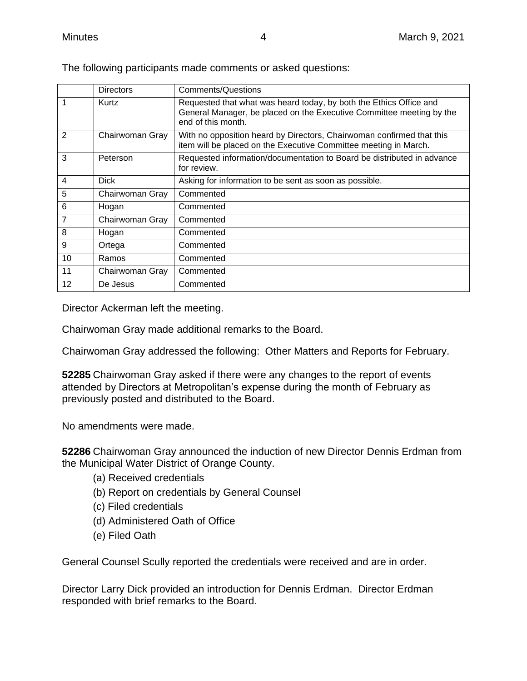|                | <b>Directors</b> | <b>Comments/Questions</b>                                                                                                                                        |
|----------------|------------------|------------------------------------------------------------------------------------------------------------------------------------------------------------------|
| 1              | Kurtz            | Requested that what was heard today, by both the Ethics Office and<br>General Manager, be placed on the Executive Committee meeting by the<br>end of this month. |
| $\overline{2}$ | Chairwoman Gray  | With no opposition heard by Directors, Chairwoman confirmed that this<br>item will be placed on the Executive Committee meeting in March.                        |
| 3              | Peterson         | Requested information/documentation to Board be distributed in advance<br>for review.                                                                            |
| $\overline{4}$ | <b>Dick</b>      | Asking for information to be sent as soon as possible.                                                                                                           |
| 5              | Chairwoman Gray  | Commented                                                                                                                                                        |
| 6              | Hogan            | Commented                                                                                                                                                        |
| $\overline{7}$ | Chairwoman Gray  | Commented                                                                                                                                                        |
| 8              | Hogan            | Commented                                                                                                                                                        |
| 9              | Ortega           | Commented                                                                                                                                                        |
| 10             | Ramos            | Commented                                                                                                                                                        |
| 11             | Chairwoman Gray  | Commented                                                                                                                                                        |
| 12             | De Jesus         | Commented                                                                                                                                                        |

The following participants made comments or asked questions:

Director Ackerman left the meeting.

Chairwoman Gray made additional remarks to the Board.

Chairwoman Gray addressed the following: Other Matters and Reports for February.

**52285** Chairwoman Gray asked if there were any changes to the report of events attended by Directors at Metropolitan's expense during the month of February as previously posted and distributed to the Board.

No amendments were made.

**52286** Chairwoman Gray announced the induction of new Director Dennis Erdman from the Municipal Water District of Orange County.

- (a) Received credentials
- (b) Report on credentials by General Counsel
- (c) Filed credentials
- (d) Administered Oath of Office
- (e) Filed Oath

General Counsel Scully reported the credentials were received and are in order.

Director Larry Dick provided an introduction for Dennis Erdman. Director Erdman responded with brief remarks to the Board.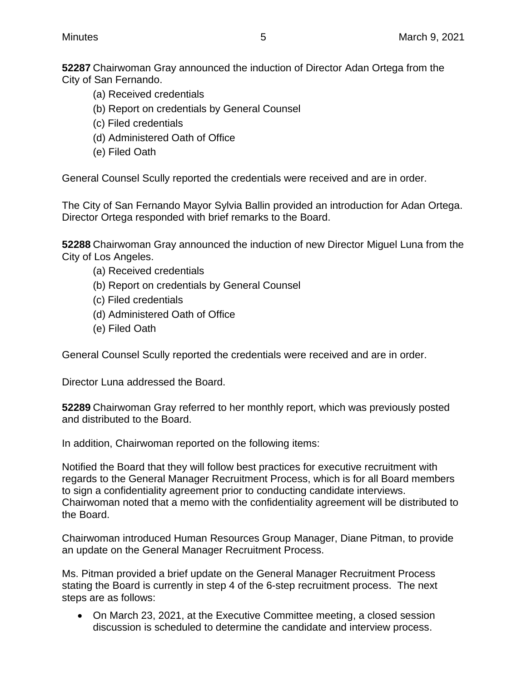**52287** Chairwoman Gray announced the induction of Director Adan Ortega from the City of San Fernando.

- (a) Received credentials
- (b) Report on credentials by General Counsel
- (c) Filed credentials
- (d) Administered Oath of Office
- (e) Filed Oath

General Counsel Scully reported the credentials were received and are in order.

The City of San Fernando Mayor Sylvia Ballin provided an introduction for Adan Ortega. Director Ortega responded with brief remarks to the Board.

**52288** Chairwoman Gray announced the induction of new Director Miguel Luna from the City of Los Angeles.

- (a) Received credentials
- (b) Report on credentials by General Counsel
- (c) Filed credentials
- (d) Administered Oath of Office
- (e) Filed Oath

General Counsel Scully reported the credentials were received and are in order.

Director Luna addressed the Board.

**52289** Chairwoman Gray referred to her monthly report, which was previously posted and distributed to the Board.

In addition, Chairwoman reported on the following items:

Notified the Board that they will follow best practices for executive recruitment with regards to the General Manager Recruitment Process, which is for all Board members to sign a confidentiality agreement prior to conducting candidate interviews. Chairwoman noted that a memo with the confidentiality agreement will be distributed to the Board.

Chairwoman introduced Human Resources Group Manager, Diane Pitman, to provide an update on the General Manager Recruitment Process.

Ms. Pitman provided a brief update on the General Manager Recruitment Process stating the Board is currently in step 4 of the 6-step recruitment process. The next steps are as follows:

• On March 23, 2021, at the Executive Committee meeting, a closed session discussion is scheduled to determine the candidate and interview process.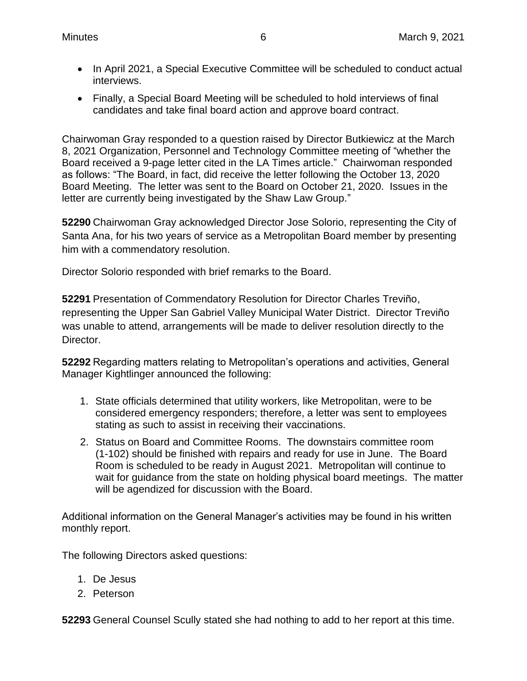- In April 2021, a Special Executive Committee will be scheduled to conduct actual interviews.
- Finally, a Special Board Meeting will be scheduled to hold interviews of final candidates and take final board action and approve board contract.

Chairwoman Gray responded to a question raised by Director Butkiewicz at the March 8, 2021 Organization, Personnel and Technology Committee meeting of "whether the Board received a 9-page letter cited in the LA Times article." Chairwoman responded as follows: "The Board, in fact, did receive the letter following the October 13, 2020 Board Meeting. The letter was sent to the Board on October 21, 2020. Issues in the letter are currently being investigated by the Shaw Law Group."

**52290** Chairwoman Gray acknowledged Director Jose Solorio, representing the City of Santa Ana, for his two years of service as a Metropolitan Board member by presenting him with a commendatory resolution.

Director Solorio responded with brief remarks to the Board.

**52291** Presentation of Commendatory Resolution for Director Charles Treviño, representing the Upper San Gabriel Valley Municipal Water District. Director Treviño was unable to attend, arrangements will be made to deliver resolution directly to the Director.

**52292** Regarding matters relating to Metropolitan's operations and activities, General Manager Kightlinger announced the following:

- 1. State officials determined that utility workers, like Metropolitan, were to be considered emergency responders; therefore, a letter was sent to employees stating as such to assist in receiving their vaccinations.
- 2. Status on Board and Committee Rooms. The downstairs committee room (1-102) should be finished with repairs and ready for use in June. The Board Room is scheduled to be ready in August 2021. Metropolitan will continue to wait for guidance from the state on holding physical board meetings. The matter will be agendized for discussion with the Board.

Additional information on the General Manager's activities may be found in his written monthly report.

The following Directors asked questions:

- 1. De Jesus
- 2. Peterson

**52293** General Counsel Scully stated she had nothing to add to her report at this time.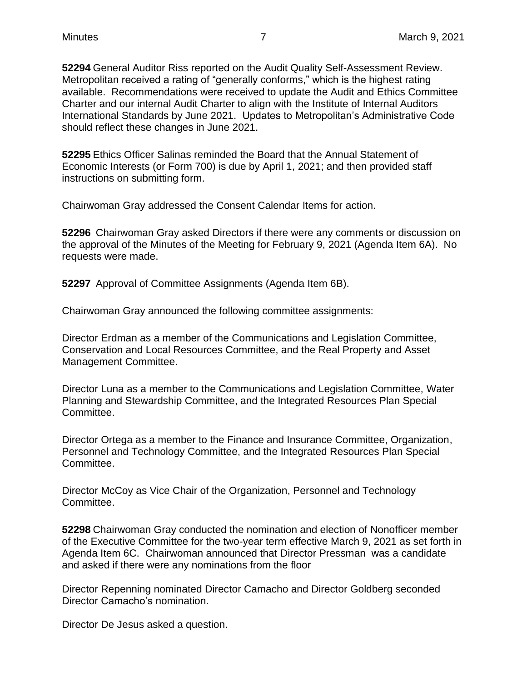**52294** General Auditor Riss reported on the Audit Quality Self-Assessment Review. Metropolitan received a rating of "generally conforms," which is the highest rating available. Recommendations were received to update the Audit and Ethics Committee Charter and our internal Audit Charter to align with the Institute of Internal Auditors International Standards by June 2021. Updates to Metropolitan's Administrative Code should reflect these changes in June 2021.

**52295** Ethics Officer Salinas reminded the Board that the Annual Statement of Economic Interests (or Form 700) is due by April 1, 2021; and then provided staff instructions on submitting form.

Chairwoman Gray addressed the Consent Calendar Items for action.

**52296** Chairwoman Gray asked Directors if there were any comments or discussion on the approval of the Minutes of the Meeting for February 9, 2021 (Agenda Item 6A). No requests were made.

**52297** Approval of Committee Assignments (Agenda Item 6B).

Chairwoman Gray announced the following committee assignments:

Director Erdman as a member of the Communications and Legislation Committee, Conservation and Local Resources Committee, and the Real Property and Asset Management Committee.

Director Luna as a member to the Communications and Legislation Committee, Water Planning and Stewardship Committee, and the Integrated Resources Plan Special Committee.

Director Ortega as a member to the Finance and Insurance Committee, Organization, Personnel and Technology Committee, and the Integrated Resources Plan Special Committee.

Director McCoy as Vice Chair of the Organization, Personnel and Technology Committee.

**52298** Chairwoman Gray conducted the nomination and election of Nonofficer member of the Executive Committee for the two-year term effective March 9, 2021 as set forth in Agenda Item 6C. Chairwoman announced that Director Pressman was a candidate and asked if there were any nominations from the floor

Director Repenning nominated Director Camacho and Director Goldberg seconded Director Camacho's nomination.

Director De Jesus asked a question.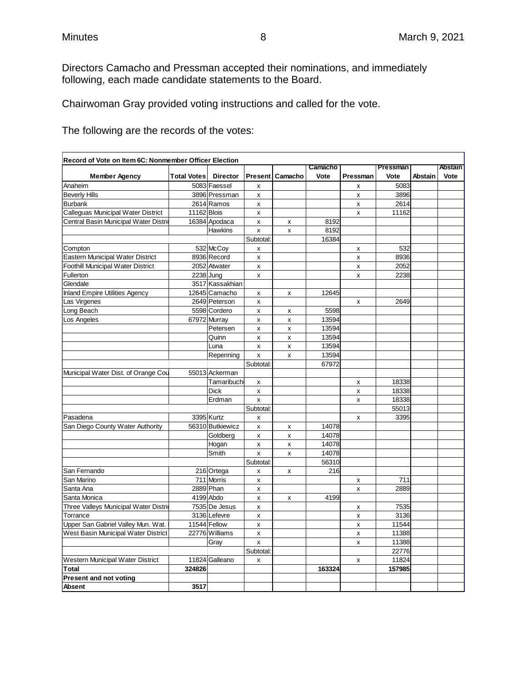Directors Camacho and Pressman accepted their nominations, and immediately following, each made candidate statements to the Board.

Chairwoman Gray provided voting instructions and called for the vote.

The following are the records of the votes:

| Record of Vote on Item 6C: Nonmember Officer Election |                    |                  |                    |         |         |                    |          |                |         |
|-------------------------------------------------------|--------------------|------------------|--------------------|---------|---------|--------------------|----------|----------------|---------|
|                                                       |                    |                  |                    |         | Camacho |                    | Pressman |                | Abstain |
| <b>Member Agency</b>                                  | <b>Total Votes</b> | <b>Director</b>  | Present            | Camacho | Vote    | Pressman           | Vote     | <b>Abstain</b> | Vote    |
| Anaheim                                               |                    | 5083 Faessel     | X                  |         |         | x                  | 5083     |                |         |
| <b>Beverly Hills</b>                                  |                    | 3896 Pressman    | X                  |         |         | X                  | 3896     |                |         |
| <b>Burbank</b>                                        |                    | 2614 Ramos       | $\pmb{\times}$     |         |         | $\pmb{\mathsf{x}}$ | 2614     |                |         |
| Calleguas Municipal Water District                    | 11162 Blois        |                  | X                  |         |         | X                  | 11162    |                |         |
| Central Basin Municipal Water Distrid                 |                    | 16384 Apodaca    | $\pmb{\times}$     | x       | 8192    |                    |          |                |         |
|                                                       |                    | Hawkins          | X                  | x       | 8192    |                    |          |                |         |
|                                                       |                    |                  | Subtotal:          |         | 16384   |                    |          |                |         |
| Compton                                               |                    | 532 McCoy        | $\pmb{\times}$     |         |         | X                  | 532      |                |         |
| Eastern Municipal Water District                      |                    | 8936 Record      | $\pmb{\times}$     |         |         | $\pmb{\mathsf{x}}$ | 8936     |                |         |
| Foothill Municipal Water District                     |                    | 2052 Atwater     | x                  |         |         | х                  | 2052     |                |         |
| Fullerton                                             |                    | 2238 Jung        | $\pmb{\mathsf{x}}$ |         |         | $\mathsf{x}$       | 2238     |                |         |
| Glendale                                              |                    | 3517 Kassakhian  |                    |         |         |                    |          |                |         |
| <b>Inland Empire Utilities Agency</b>                 |                    | 12645 Camacho    | X                  | x       | 12645   |                    |          |                |         |
| Las Virgenes                                          |                    | 2649 Peterson    | $\pmb{\mathsf{x}}$ |         |         | X                  | 2649     |                |         |
| Long Beach                                            |                    | 5598 Cordero     | $\pmb{\mathsf{x}}$ | x       | 5598    |                    |          |                |         |
| Los Angeles                                           |                    | 67972 Murray     | x                  | x       | 13594   |                    |          |                |         |
|                                                       |                    | Petersen         | $\pmb{\times}$     | x       | 13594   |                    |          |                |         |
|                                                       |                    | Quinn            | X                  | х       | 13594   |                    |          |                |         |
|                                                       |                    | Luna             | X                  | x       | 13594   |                    |          |                |         |
|                                                       |                    | Repenning        | $\mathsf{x}$       | x       | 13594   |                    |          |                |         |
|                                                       |                    |                  | Subtotal:          |         | 67972   |                    |          |                |         |
| Municipal Water Dist. of Orange Cou                   |                    | 55013 Ackerman   |                    |         |         |                    |          |                |         |
|                                                       |                    | Tamaribuchi      | X                  |         |         | X                  | 18338    |                |         |
|                                                       |                    | <b>Dick</b>      | $\pmb{\times}$     |         |         | $\pmb{\mathsf{x}}$ | 18338    |                |         |
|                                                       |                    | Erdman           | $\pmb{\times}$     |         |         | x                  | 18338    |                |         |
|                                                       |                    |                  | Subtotal:          |         |         |                    | 55013    |                |         |
| Pasadena                                              |                    | 3395 Kurtz       | X                  |         |         | X                  | 3395     |                |         |
| San Diego County Water Authority                      |                    | 56310 Butkiewicz | $\pmb{\mathsf{x}}$ | X       | 14078   |                    |          |                |         |
|                                                       |                    | Goldberg         | $\pmb{\times}$     | x       | 14078   |                    |          |                |         |
|                                                       |                    | Hogan            | $\pmb{\mathsf{x}}$ | x       | 14078   |                    |          |                |         |
|                                                       |                    | Smith            | $\mathsf{x}$       | x       | 14078   |                    |          |                |         |
|                                                       |                    |                  | Subtotal:          |         | 56310   |                    |          |                |         |
| San Fernando                                          |                    | 216 Ortega       | x                  | x       | 216     |                    |          |                |         |
| San Marino                                            |                    | 711 Morris       | X                  |         |         | X                  | 711      |                |         |
| Santa Ana                                             |                    | 2889 Phan        | $\pmb{\times}$     |         |         | x                  | 2889     |                |         |
| Santa Monica                                          |                    | 4199 Abdo        | X                  | x       | 4199    |                    |          |                |         |
| Three Valleys Municipal Water Distric                 |                    | 7535 De Jesus    | $\pmb{\times}$     |         |         | x                  | 7535     |                |         |
| Torrance                                              |                    | 3136 Lefevre     | X                  |         |         | X                  | 3136     |                |         |
| Upper San Gabriel Valley Mun. Wat.                    |                    | 11544 Fellow     | $\pmb{\times}$     |         |         | $\pmb{\mathsf{x}}$ | 11544    |                |         |
| West Basin Municipal Water District                   |                    | 22776 Williams   | X                  |         |         | X                  | 11388    |                |         |
|                                                       |                    | Gray             | $\mathsf{x}$       |         |         | x                  | 11388    |                |         |
|                                                       |                    |                  | Subtotal:          |         |         |                    | 22776    |                |         |
| Western Municipal Water District                      |                    | 11824 Galleano   | x                  |         |         | x                  | 11824    |                |         |
| <b>Total</b>                                          | 324826             |                  |                    |         | 163324  |                    | 157985   |                |         |
| <b>Present and not voting</b>                         |                    |                  |                    |         |         |                    |          |                |         |
| Absent                                                | 3517               |                  |                    |         |         |                    |          |                |         |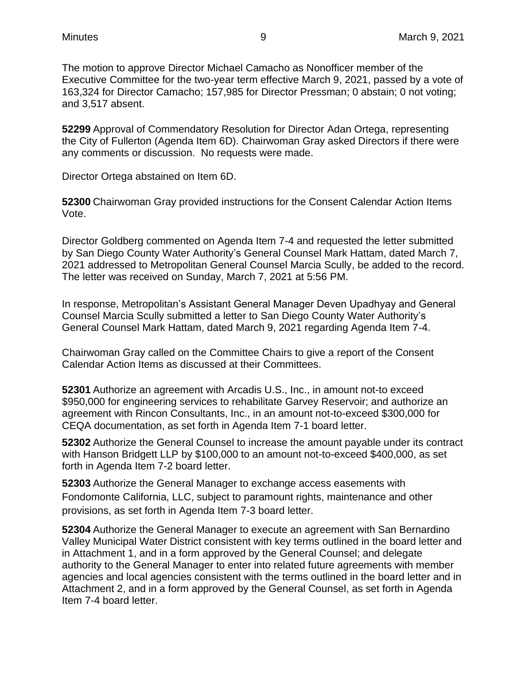The motion to approve Director Michael Camacho as Nonofficer member of the Executive Committee for the two-year term effective March 9, 2021, passed by a vote of 163,324 for Director Camacho; 157,985 for Director Pressman; 0 abstain; 0 not voting; and 3,517 absent.

**52299** Approval of Commendatory Resolution for Director Adan Ortega, representing the City of Fullerton (Agenda Item 6D). Chairwoman Gray asked Directors if there were any comments or discussion. No requests were made.

Director Ortega abstained on Item 6D.

**52300** Chairwoman Gray provided instructions for the Consent Calendar Action Items Vote.

Director Goldberg commented on Agenda Item 7-4 and requested the letter submitted by San Diego County Water Authority's General Counsel Mark Hattam, dated March 7, 2021 addressed to Metropolitan General Counsel Marcia Scully, be added to the record. The letter was received on Sunday, March 7, 2021 at 5:56 PM.

In response, Metropolitan's Assistant General Manager Deven Upadhyay and General Counsel Marcia Scully submitted a letter to San Diego County Water Authority's General Counsel Mark Hattam, dated March 9, 2021 regarding Agenda Item 7-4.

Chairwoman Gray called on the Committee Chairs to give a report of the Consent Calendar Action Items as discussed at their Committees.

**52301** Authorize an agreement with Arcadis U.S., Inc., in amount not-to exceed \$950,000 for engineering services to rehabilitate Garvey Reservoir; and authorize an agreement with Rincon Consultants, Inc., in an amount not-to-exceed \$300,000 for CEQA documentation, as set forth in Agenda Item 7-1 board letter.

**52302** Authorize the General Counsel to increase the amount payable under its contract with Hanson Bridgett LLP by \$100,000 to an amount not-to-exceed \$400,000, as set forth in Agenda Item 7-2 board letter.

**52303** Authorize the General Manager to exchange access easements with Fondomonte California, LLC, subject to paramount rights, maintenance and other provisions, as set forth in Agenda Item 7-3 board letter.

**52304** Authorize the General Manager to execute an agreement with San Bernardino Valley Municipal Water District consistent with key terms outlined in the board letter and in Attachment 1, and in a form approved by the General Counsel; and delegate authority to the General Manager to enter into related future agreements with member agencies and local agencies consistent with the terms outlined in the board letter and in Attachment 2, and in a form approved by the General Counsel, as set forth in Agenda Item 7-4 board letter.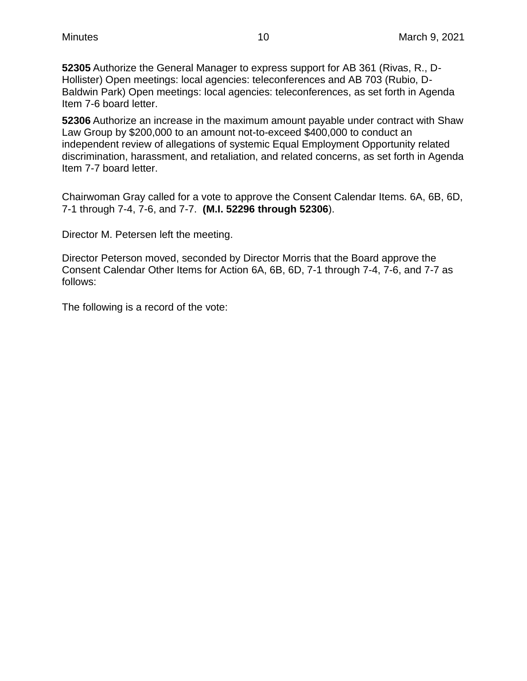**52305** Authorize the General Manager to express support for AB 361 (Rivas, R., D-Hollister) Open meetings: local agencies: teleconferences and AB 703 (Rubio, D-Baldwin Park) Open meetings: local agencies: teleconferences, as set forth in Agenda Item 7-6 board letter.

**52306** Authorize an increase in the maximum amount payable under contract with Shaw Law Group by \$200,000 to an amount not-to-exceed \$400,000 to conduct an independent review of allegations of systemic Equal Employment Opportunity related discrimination, harassment, and retaliation, and related concerns, as set forth in Agenda Item 7-7 board letter.

Chairwoman Gray called for a vote to approve the Consent Calendar Items. 6A, 6B, 6D, 7-1 through 7-4, 7-6, and 7-7. **(M.I. 52296 through 52306**).

Director M. Petersen left the meeting.

Director Peterson moved, seconded by Director Morris that the Board approve the Consent Calendar Other Items for Action 6A, 6B, 6D, 7-1 through 7-4, 7-6, and 7-7 as follows:

The following is a record of the vote: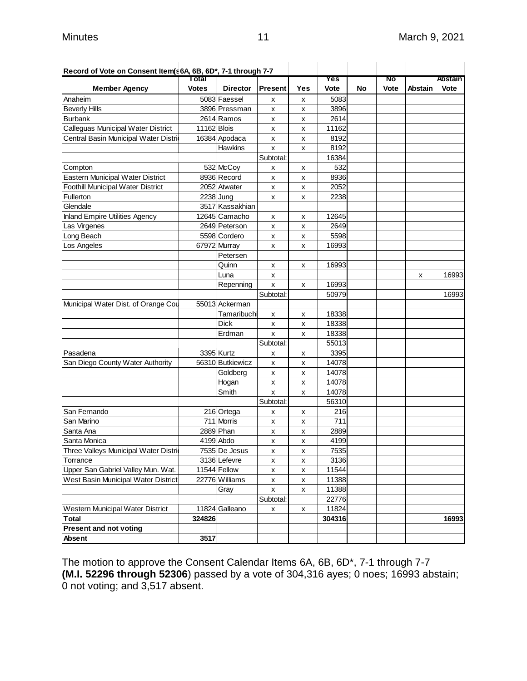| Record of Vote on Consent Item(s 6A, 6B, 6D*, 7-1 through 7-7 |              |                  |                |     |        |    |      |         |         |
|---------------------------------------------------------------|--------------|------------------|----------------|-----|--------|----|------|---------|---------|
|                                                               | Total        |                  |                |     | Yes    |    | No   |         | Abstain |
| <b>Member Agency</b>                                          | <b>Votes</b> | <b>Director</b>  | <b>Present</b> | Yes | Vote   | No | Vote | Abstain | Vote    |
| Anaheim                                                       |              | 5083 Faessel     | x              | X   | 5083   |    |      |         |         |
| <b>Beverly Hills</b>                                          |              | 3896 Pressman    | x              | x   | 3896   |    |      |         |         |
| <b>Burbank</b>                                                |              | 2614 Ramos       | x              | x   | 2614   |    |      |         |         |
| Calleguas Municipal Water District                            | 11162 Blois  |                  | x              | X   | 11162  |    |      |         |         |
| Central Basin Municipal Water Distri                          |              | 16384 Apodaca    | x              | x   | 8192   |    |      |         |         |
|                                                               |              | Hawkins          | x              | X   | 8192   |    |      |         |         |
|                                                               |              |                  | Subtotal:      |     | 16384  |    |      |         |         |
| Compton                                                       |              | 532 McCoy        | x              | x   | 532    |    |      |         |         |
| Eastern Municipal Water District                              |              | 8936 Record      | x              | x   | 8936   |    |      |         |         |
| Foothill Municipal Water District                             |              | 2052 Atwater     | x              | x   | 2052   |    |      |         |         |
| Fullerton                                                     |              | 2238 Jung        | x              | x   | 2238   |    |      |         |         |
| Glendale                                                      |              | 3517 Kassakhian  |                |     |        |    |      |         |         |
| <b>Inland Empire Utilities Agency</b>                         |              | 12645 Camacho    | x              | x   | 12645  |    |      |         |         |
| Las Virgenes                                                  |              | 2649 Peterson    | x              | X   | 2649   |    |      |         |         |
| Long Beach                                                    |              | 5598 Cordero     | x              | X   | 5598   |    |      |         |         |
| Los Angeles                                                   |              | 67972 Murray     | x              | x   | 16993  |    |      |         |         |
|                                                               |              | Petersen         |                |     |        |    |      |         |         |
|                                                               |              | Quinn            | х              | х   | 16993  |    |      |         |         |
|                                                               |              | Luna             | x              |     |        |    |      | x       | 16993   |
|                                                               |              | Repenning        | x              | X   | 16993  |    |      |         |         |
|                                                               |              |                  | Subtotal:      |     | 50979  |    |      |         | 16993   |
| Municipal Water Dist. of Orange Cou                           |              | 55013 Ackerman   |                |     |        |    |      |         |         |
|                                                               |              | Tamaribuchi      | x              | x   | 18338  |    |      |         |         |
|                                                               |              | <b>Dick</b>      | x              | X   | 18338  |    |      |         |         |
|                                                               |              | Erdman           | x              | х   | 18338  |    |      |         |         |
|                                                               |              |                  | Subtotal:      |     | 55013  |    |      |         |         |
| Pasadena                                                      |              | 3395 Kurtz       | x              | х   | 3395   |    |      |         |         |
| San Diego County Water Authority                              |              | 56310 Butkiewicz | x              | x   | 14078  |    |      |         |         |
|                                                               |              | Goldberg         | x              | x   | 14078  |    |      |         |         |
|                                                               |              | Hogan            | X              | x   | 14078  |    |      |         |         |
|                                                               |              | Smith            | x              | X   | 14078  |    |      |         |         |
|                                                               |              |                  | Subtotal:      |     | 56310  |    |      |         |         |
| San Fernando                                                  |              | 216 Ortega       | x              | X   | 216    |    |      |         |         |
| San Marino                                                    |              | 711 Morris       | х              | x   | 711    |    |      |         |         |
| Santa Ana                                                     |              | 2889 Phan        | x              | x   | 2889   |    |      |         |         |
| Santa Monica                                                  |              | 4199 Abdo        | x              | X   | 4199   |    |      |         |         |
| Three Valleys Municipal Water Distri                          |              | 7535 De Jesus    | x              | x   | 7535   |    |      |         |         |
| Torrance                                                      |              | 3136 Lefevre     | x              | x   | 3136   |    |      |         |         |
| Upper San Gabriel Valley Mun. Wat.                            |              | 11544 Fellow     | x              | x   | 11544  |    |      |         |         |
| West Basin Municipal Water District                           |              | 22776 Williams   | x              | X   | 11388  |    |      |         |         |
|                                                               |              | Gray             | x              | X   | 11388  |    |      |         |         |
|                                                               |              |                  | Subtotal:      |     | 22776  |    |      |         |         |
| Western Municipal Water District                              |              | 11824 Galleano   | x              | X   | 11824  |    |      |         |         |
| <b>Total</b>                                                  | 324826       |                  |                |     | 304316 |    |      |         | 16993   |
| <b>Present and not voting</b>                                 |              |                  |                |     |        |    |      |         |         |
| Absent                                                        | 3517         |                  |                |     |        |    |      |         |         |
|                                                               |              |                  |                |     |        |    |      |         |         |

The motion to approve the Consent Calendar Items 6A, 6B, 6D\*, 7-1 through 7-7 **(M.I. 52296 through 52306**) passed by a vote of 304,316 ayes; 0 noes; 16993 abstain; 0 not voting; and 3,517 absent.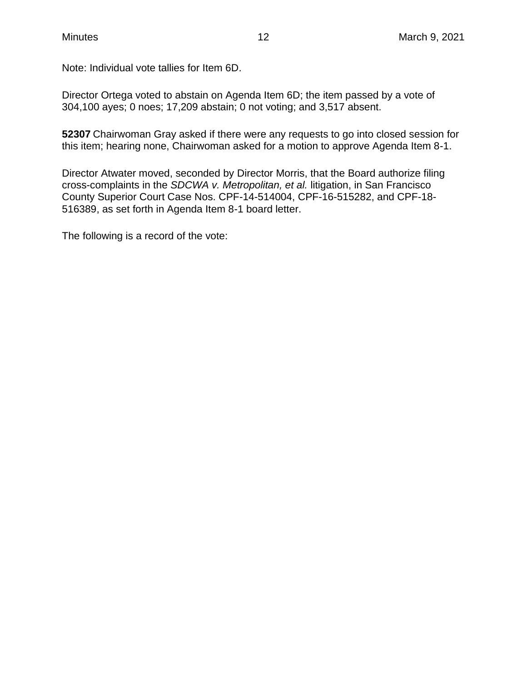Note: Individual vote tallies for Item 6D.

Director Ortega voted to abstain on Agenda Item 6D; the item passed by a vote of 304,100 ayes; 0 noes; 17,209 abstain; 0 not voting; and 3,517 absent.

**52307** Chairwoman Gray asked if there were any requests to go into closed session for this item; hearing none, Chairwoman asked for a motion to approve Agenda Item 8-1.

Director Atwater moved, seconded by Director Morris, that the Board authorize filing cross-complaints in the *SDCWA v. Metropolitan, et al.* litigation, in San Francisco County Superior Court Case Nos. CPF-14-514004, CPF-16-515282, and CPF-18- 516389, as set forth in Agenda Item 8-1 board letter.

The following is a record of the vote: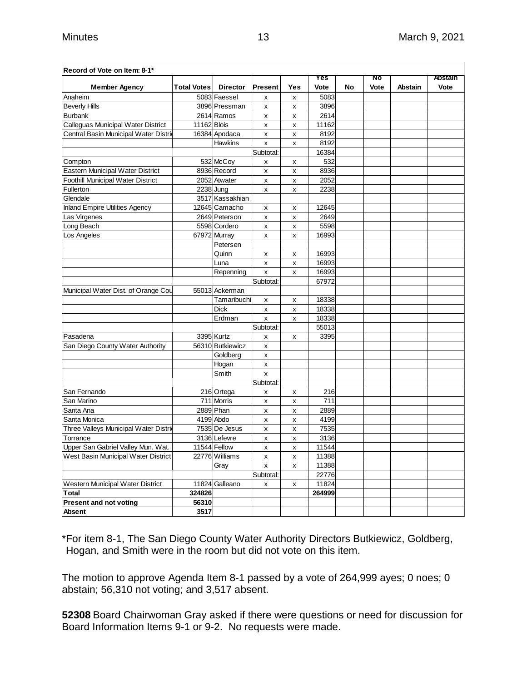| Record of Vote on Item: 8-1*          |                    |                  |                |     |        |    |      |                |                |
|---------------------------------------|--------------------|------------------|----------------|-----|--------|----|------|----------------|----------------|
|                                       |                    |                  |                |     | Yes    |    | No   |                | <b>Abstain</b> |
| <b>Member Agency</b>                  | <b>Total Votes</b> | <b>Director</b>  | <b>Present</b> | Yes | Vote   | No | Vote | <b>Abstain</b> | Vote           |
| Anaheim                               |                    | 5083 Faessel     | X              | x   | 5083   |    |      |                |                |
| <b>Beverly Hills</b>                  |                    | 3896 Pressman    | x              | x   | 3896   |    |      |                |                |
| <b>Burbank</b>                        |                    | 2614 Ramos       | x              | x   | 2614   |    |      |                |                |
| Calleguas Municipal Water District    | 11162 Blois        |                  | x              | x   | 11162  |    |      |                |                |
| Central Basin Municipal Water Distri  |                    | 16384 Apodaca    | x              | x   | 8192   |    |      |                |                |
|                                       |                    | <b>Hawkins</b>   | x              | x   | 8192   |    |      |                |                |
|                                       |                    |                  | Subtotal:      |     | 16384  |    |      |                |                |
| Compton                               |                    | 532 McCoy        | x              | x   | 532    |    |      |                |                |
| Eastern Municipal Water District      |                    | 8936 Record      | x              | x   | 8936   |    |      |                |                |
| Foothill Municipal Water District     |                    | 2052 Atwater     | x              | x   | 2052   |    |      |                |                |
| Fullerton                             |                    | 2238 Jung        | x              | x   | 2238   |    |      |                |                |
| Glendale                              |                    | 3517 Kassakhian  |                |     |        |    |      |                |                |
| <b>Inland Empire Utilities Agency</b> |                    | 12645 Camacho    | x              | x   | 12645  |    |      |                |                |
| Las Virgenes                          |                    | 2649 Peterson    | x              | x   | 2649   |    |      |                |                |
| Long Beach                            |                    | 5598 Cordero     | x              | x   | 5598   |    |      |                |                |
| Los Angeles                           |                    | 67972 Murray     | x              | x   | 16993  |    |      |                |                |
|                                       |                    | Petersen         |                |     |        |    |      |                |                |
|                                       |                    | Quinn            | x              | x   | 16993  |    |      |                |                |
|                                       |                    | Luna             | x              | x   | 16993  |    |      |                |                |
|                                       |                    | Repenning        | X              | x   | 16993  |    |      |                |                |
|                                       |                    |                  | Subtotal:      |     | 67972  |    |      |                |                |
| Municipal Water Dist. of Orange Cou   |                    | 55013 Ackerman   |                |     |        |    |      |                |                |
|                                       |                    | Tamaribuchi      | х              | x   | 18338  |    |      |                |                |
|                                       |                    | <b>Dick</b>      | x              | x   | 18338  |    |      |                |                |
|                                       |                    | Erdman           | x              | x   | 18338  |    |      |                |                |
|                                       |                    |                  | Subtotal:      |     | 55013  |    |      |                |                |
| Pasadena                              |                    | 3395 Kurtz       | x              | x   | 3395   |    |      |                |                |
| San Diego County Water Authority      |                    | 56310 Butkiewicz | x              |     |        |    |      |                |                |
|                                       |                    | Goldberg         | x              |     |        |    |      |                |                |
|                                       |                    | Hogan            | x              |     |        |    |      |                |                |
|                                       |                    | Smith            | x              |     |        |    |      |                |                |
|                                       |                    |                  | Subtotal:      |     |        |    |      |                |                |
| San Fernando                          |                    | 216 Ortega       | x              | x   | 216    |    |      |                |                |
| San Marino                            |                    | 711 Morris       | x              | x   | 711    |    |      |                |                |
| Santa Ana                             |                    | 2889 Phan        | x              | x   | 2889   |    |      |                |                |
| Santa Monica                          |                    | 4199 Abdo        | x              | x   | 4199   |    |      |                |                |
| Three Valleys Municipal Water Distri  |                    | 7535 De Jesus    | x              | x   | 7535   |    |      |                |                |
| Torrance                              |                    | 3136 Lefevre     | x              | x   | 3136   |    |      |                |                |
| Upper San Gabriel Valley Mun. Wat.    |                    | 11544 Fellow     | x              | x   | 11544  |    |      |                |                |
| West Basin Municipal Water District   |                    | 22776 Williams   | x              | x   | 11388  |    |      |                |                |
|                                       |                    | Gray             | x              | x   | 11388  |    |      |                |                |
|                                       |                    |                  | Subtotal:      |     | 22776  |    |      |                |                |
| Western Municipal Water District      |                    | 11824 Galleano   | x              | x   | 11824  |    |      |                |                |
| <b>Total</b>                          | 324826             |                  |                |     | 264999 |    |      |                |                |
| <b>Present and not voting</b>         | 56310              |                  |                |     |        |    |      |                |                |
| Absent                                | 3517               |                  |                |     |        |    |      |                |                |

\*For item 8-1, The San Diego County Water Authority Directors Butkiewicz, Goldberg, Hogan, and Smith were in the room but did not vote on this item.

The motion to approve Agenda Item 8-1 passed by a vote of 264,999 ayes; 0 noes; 0 abstain; 56,310 not voting; and 3,517 absent.

**52308** Board Chairwoman Gray asked if there were questions or need for discussion for Board Information Items 9-1 or 9-2. No requests were made.